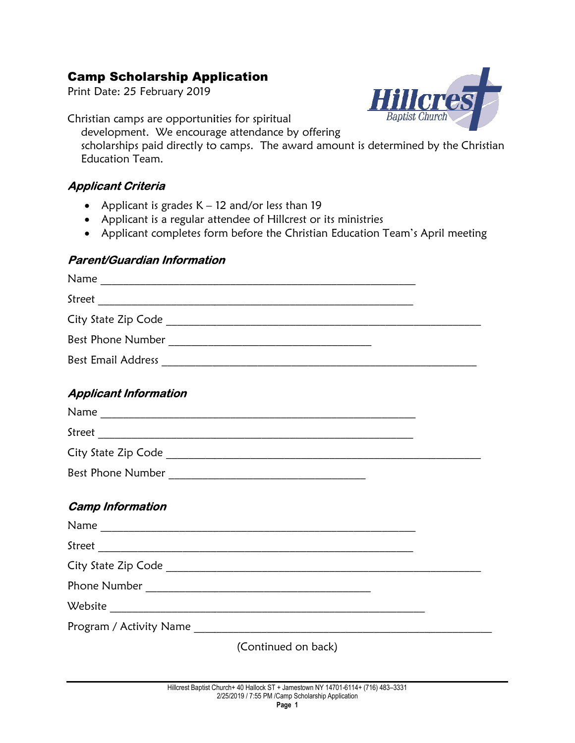# Camp Scholarship Application

Print Date: 25 February 2019

**Baptist Churc** 

Christian camps are opportunities for spiritual development. We encourage attendance by offering scholarships paid directly to camps. The award amount is determined by the Christian Education Team.

## Applicant Criteria

- Applicant is grades K 12 and/or less than 19
- Applicant is a regular attendee of Hillcrest or its ministries
- Applicant is a regular attendee of Hillcrest or its ministries<br>• Applicant completes form before the Christian Education Team's April meeting

### Parent/Guardian Information

| <b>Applicant Information</b> |                     |  |
|------------------------------|---------------------|--|
|                              |                     |  |
|                              |                     |  |
|                              |                     |  |
|                              |                     |  |
| <b>Camp Information</b>      |                     |  |
|                              |                     |  |
|                              |                     |  |
|                              |                     |  |
|                              |                     |  |
|                              |                     |  |
|                              |                     |  |
|                              | (Continued on back) |  |